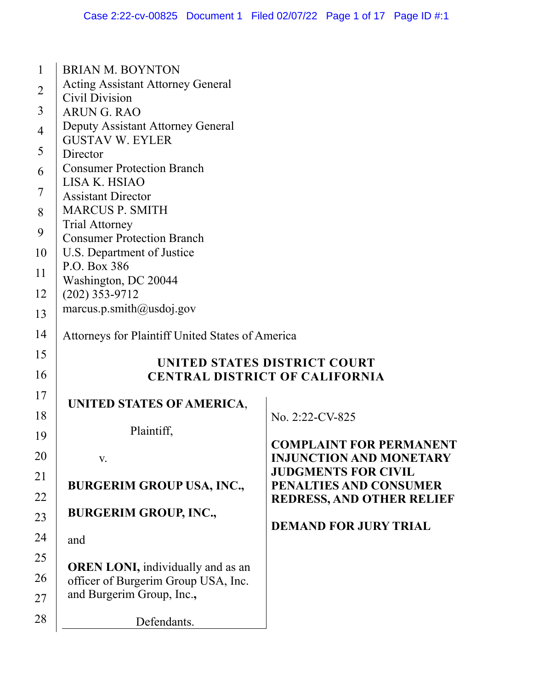| $\mathbf{1}$   | <b>BRIAN M. BOYNTON</b>                                    |                                                      |
|----------------|------------------------------------------------------------|------------------------------------------------------|
| $\overline{2}$ | <b>Acting Assistant Attorney General</b><br>Civil Division |                                                      |
| 3              | <b>ARUNG. RAO</b>                                          |                                                      |
| 4              | Deputy Assistant Attorney General                          |                                                      |
|                | <b>GUSTAV W. EYLER</b>                                     |                                                      |
| 5              | Director                                                   |                                                      |
| 6              | <b>Consumer Protection Branch</b><br>LISA K. HSIAO         |                                                      |
| 7              | <b>Assistant Director</b>                                  |                                                      |
| 8              | <b>MARCUS P. SMITH</b>                                     |                                                      |
| 9              | <b>Trial Attorney</b><br><b>Consumer Protection Branch</b> |                                                      |
| 10             | U.S. Department of Justice                                 |                                                      |
| 11             | P.O. Box 386                                               |                                                      |
|                | Washington, DC 20044                                       |                                                      |
| 12             | $(202)$ 353-9712<br>marcus.p.smith@usdoj.gov               |                                                      |
| 13             |                                                            |                                                      |
| 14             | Attorneys for Plaintiff United States of America           |                                                      |
| 15             |                                                            | UNITED STATES DISTRICT COURT                         |
| 16             | <b>CENTRAL DISTRICT OF CALIFORNIA</b>                      |                                                      |
| 17             |                                                            |                                                      |
| 18             | UNITED STATES OF AMERICA,                                  | No. 2:22-CV-825                                      |
|                | Plaintiff,                                                 |                                                      |
| 19             |                                                            | <b>COMPLAINT FOR PERMANENT</b>                       |
| 20             | V.                                                         | <b>INJUNCTION AND MONETARY</b>                       |
| 21             | <b>BURGERIM GROUP USA, INC.,</b>                           | <b>JUDGMENTS FOR CIVIL</b><br>PENALTIES AND CONSUMER |
| 22             |                                                            | <b>REDRESS, AND OTHER RELIEF</b>                     |
| 23             | <b>BURGERIM GROUP, INC.,</b>                               |                                                      |
| 24             |                                                            | <b>DEMAND FOR JURY TRIAL</b>                         |
|                | and                                                        |                                                      |
| 25             | <b>OREN LONI</b> , individually and as an                  |                                                      |
| 26             | officer of Burgerim Group USA, Inc.                        |                                                      |
| 27             | and Burgerim Group, Inc.,                                  |                                                      |
| 28             | Defendants.                                                |                                                      |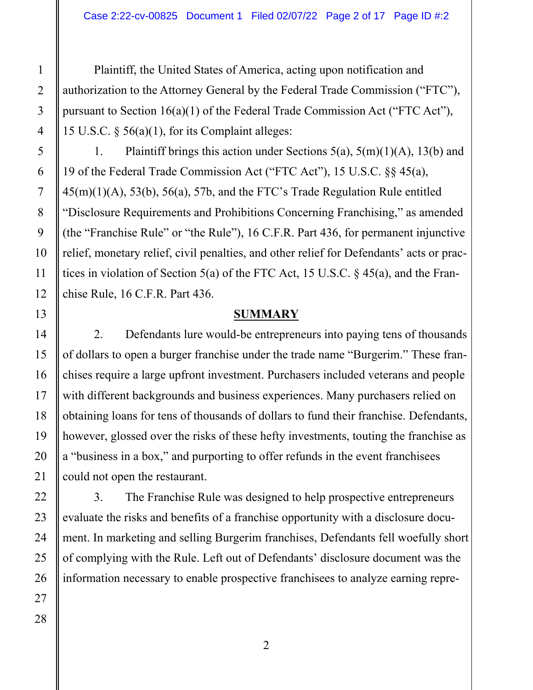Plaintiff, the United States of America, acting upon notification and authorization to the Attorney General by the Federal Trade Commission ("FTC"), pursuant to Section 16(a)(1) of the Federal Trade Commission Act ("FTC Act"), 15 U.S.C.  $\S$  56(a)(1), for its Complaint alleges:

1. Plaintiff brings this action under Sections  $5(a)$ ,  $5(m)(1)(A)$ ,  $13(b)$  and 19 of the Federal Trade Commission Act ("FTC Act"), 15 U.S.C. §§ 45(a), 45(m)(1)(A), 53(b), 56(a), 57b, and the FTC's Trade Regulation Rule entitled "Disclosure Requirements and Prohibitions Concerning Franchising," as amended (the "Franchise Rule" or "the Rule"), 16 C.F.R. Part 436, for permanent injunctive relief, monetary relief, civil penalties, and other relief for Defendants' acts or practices in violation of Section 5(a) of the FTC Act, 15 U.S.C. § 45(a), and the Franchise Rule, 16 C.F.R. Part 436.

### **SUMMARY**

2. Defendants lure would-be entrepreneurs into paying tens of thousands of dollars to open a burger franchise under the trade name "Burgerim." These franchises require a large upfront investment. Purchasers included veterans and people with different backgrounds and business experiences. Many purchasers relied on obtaining loans for tens of thousands of dollars to fund their franchise. Defendants, however, glossed over the risks of these hefty investments, touting the franchise as a "business in a box," and purporting to offer refunds in the event franchisees could not open the restaurant.

3. The Franchise Rule was designed to help prospective entrepreneurs evaluate the risks and benefits of a franchise opportunity with a disclosure document. In marketing and selling Burgerim franchises, Defendants fell woefully short of complying with the Rule. Left out of Defendants' disclosure document was the information necessary to enable prospective franchisees to analyze earning repre-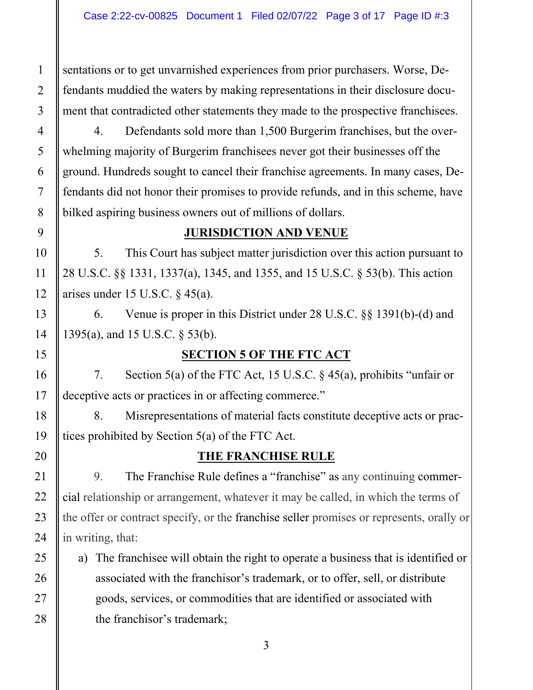sentations or to get unvarnished experiences from prior purchasers. Worse, Defendants muddied the waters by making representations in their disclosure document that contradicted other statements they made to the prospective franchisees.

4. Defendants sold more than 1,500 Burgerim franchises, but the overwhelming majority of Burgerim franchisees never got their businesses off the ground. Hundreds sought to cancel their franchise agreements. In many cases, Defendants did not honor their promises to provide refunds, and in this scheme, have bilked aspiring business owners out of millions of dollars.

### **JURISDICTION AND VENUE**

5. This Court has subject matter jurisdiction over this action pursuant to 28 U.S.C. §§ 1331, 1337(a), 1345, and 1355, and 15 U.S.C. § 53(b). This action arises under 15 U.S.C.  $\S$  45(a).

6. Venue is proper in this District under 28 U.S.C. §§ 1391(b)-(d) and 1395(a), and 15 U.S.C. § 53(b).

# **SECTION 5 OF THE FTC ACT**

7. Section 5(a) of the FTC Act, 15 U.S.C. § 45(a), prohibits "unfair or deceptive acts or practices in or affecting commerce."

8. Misrepresentations of material facts constitute deceptive acts or practices prohibited by Section 5(a) of the FTC Act.

# **THE FRANCHISE RULE**

9. The Franchise Rule defines a "franchise" as any continuing commercial relationship or arrangement, whatever it may be called, in which the terms of the offer or contract specify, or the franchise seller promises or represents, orally or in writing, that:

a) The franchisee will obtain the right to operate a business that is identified or associated with the franchisor's trademark, or to offer, sell, or distribute goods, services, or commodities that are identified or associated with the franchisor's trademark;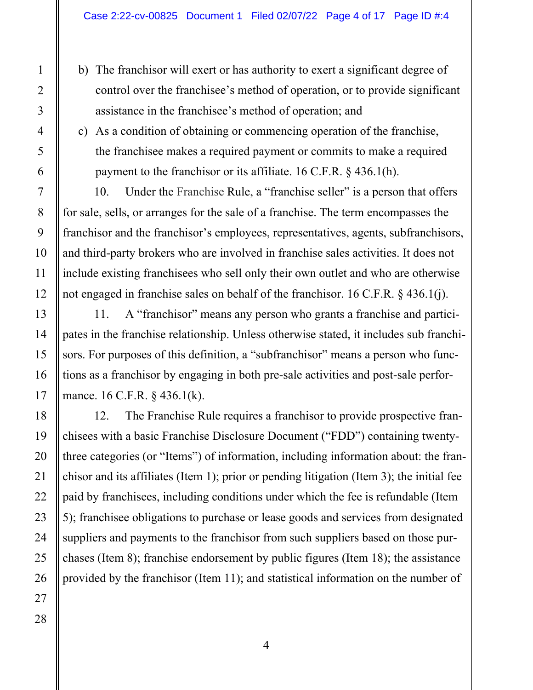- b) The franchisor will exert or has authority to exert a significant degree of control over the franchisee's method of operation, or to provide significant assistance in the franchisee's method of operation; and
- c) As a condition of obtaining or commencing operation of the franchise, the franchisee makes a required payment or commits to make a required payment to the franchisor or its affiliate. 16 C.F.R. § 436.1(h).

10. Under the Franchise Rule, a "franchise seller" is a person that offers for sale, sells, or arranges for the sale of a franchise. The term encompasses the franchisor and the franchisor's employees, representatives, agents, subfranchisors, and third-party brokers who are involved in franchise sales activities. It does not include existing franchisees who sell only their own outlet and who are otherwise not engaged in franchise sales on behalf of the franchisor. 16 C.F.R. § 436.1(j).

11. A "franchisor" means any person who grants a franchise and participates in the franchise relationship. Unless otherwise stated, it includes sub franchisors. For purposes of this definition, a "subfranchisor" means a person who functions as a franchisor by engaging in both pre-sale activities and post-sale performance. 16 C.F.R. § 436.1(k).

12. The Franchise Rule requires a franchisor to provide prospective franchisees with a basic Franchise Disclosure Document ("FDD") containing twentythree categories (or "Items") of information, including information about: the franchisor and its affiliates (Item 1); prior or pending litigation (Item 3); the initial fee paid by franchisees, including conditions under which the fee is refundable (Item 5); franchisee obligations to purchase or lease goods and services from designated suppliers and payments to the franchisor from such suppliers based on those purchases (Item 8); franchise endorsement by public figures (Item 18); the assistance provided by the franchisor (Item 11); and statistical information on the number of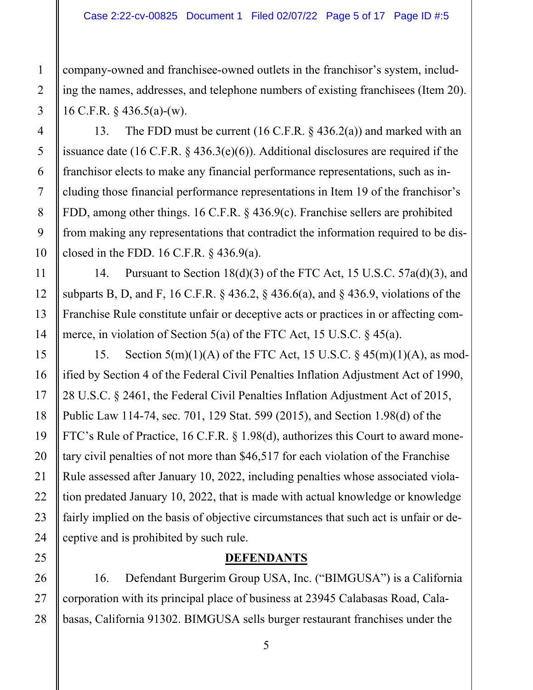company-owned and franchisee-owned outlets in the franchisor's system, including the names, addresses, and telephone numbers of existing franchisees (Item 20). 16 C.F.R. § 436.5(a)-(w).

13. The FDD must be current (16 C.F.R.  $\S$  436.2(a)) and marked with an issuance date (16 C.F.R. § 436.3(e)(6)). Additional disclosures are required if the franchisor elects to make any financial performance representations, such as including those financial performance representations in Item 19 of the franchisor's FDD, among other things. 16 C.F.R. § 436.9(c). Franchise sellers are prohibited from making any representations that contradict the information required to be disclosed in the FDD. 16 C.F.R.  $\S$  436.9(a).

14. Pursuant to Section 18(d)(3) of the FTC Act, 15 U.S.C. 57a(d)(3), and subparts B, D, and F, 16 C.F.R. § 436.2, § 436.6(a), and § 436.9, violations of the Franchise Rule constitute unfair or deceptive acts or practices in or affecting commerce, in violation of Section 5(a) of the FTC Act, 15 U.S.C. § 45(a).

15. Section  $5(m)(1)(A)$  of the FTC Act, 15 U.S.C.  $\frac{545(m)(1)(A)}{3}$ , as modified by Section 4 of the Federal Civil Penalties Inflation Adjustment Act of 1990, 28 U.S.C. § 2461, the Federal Civil Penalties Inflation Adjustment Act of 2015, Public Law 114-74, sec. 701, 129 Stat. 599 (2015), and Section 1.98(d) of the FTC's Rule of Practice, 16 C.F.R. § 1.98(d), authorizes this Court to award monetary civil penalties of not more than \$46,517 for each violation of the Franchise Rule assessed after January 10, 2022, including penalties whose associated violation predated January 10, 2022, that is made with actual knowledge or knowledge fairly implied on the basis of objective circumstances that such act is unfair or deceptive and is prohibited by such rule.

# **DEFENDANTS**

16. Defendant Burgerim Group USA, Inc. ("BIMGUSA") is a California corporation with its principal place of business at 23945 Calabasas Road, Calabasas, California 91302. BIMGUSA sells burger restaurant franchises under the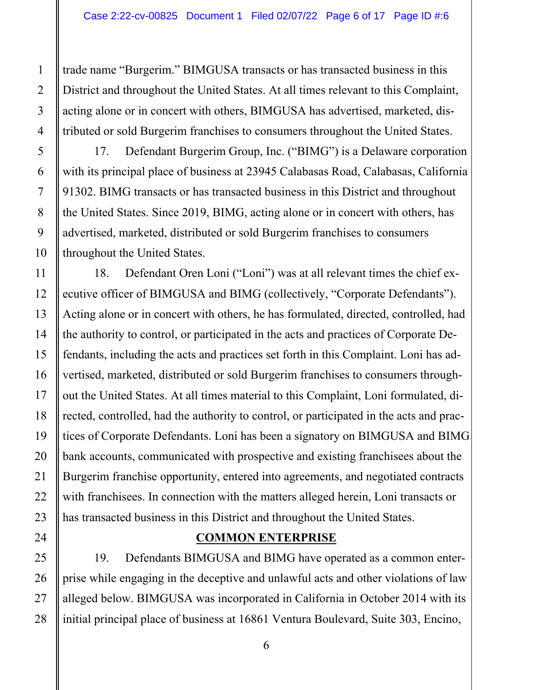trade name "Burgerim." BIMGUSA transacts or has transacted business in this District and throughout the United States. At all times relevant to this Complaint, acting alone or in concert with others, BIMGUSA has advertised, marketed, distributed or sold Burgerim franchises to consumers throughout the United States.

17. Defendant Burgerim Group, Inc. ("BIMG") is a Delaware corporation with its principal place of business at 23945 Calabasas Road, Calabasas, California 91302. BIMG transacts or has transacted business in this District and throughout the United States. Since 2019, BIMG, acting alone or in concert with others, has advertised, marketed, distributed or sold Burgerim franchises to consumers throughout the United States.

18. Defendant Oren Loni ("Loni") was at all relevant times the chief executive officer of BIMGUSA and BIMG (collectively, "Corporate Defendants"). Acting alone or in concert with others, he has formulated, directed, controlled, had the authority to control, or participated in the acts and practices of Corporate Defendants, including the acts and practices set forth in this Complaint. Loni has advertised, marketed, distributed or sold Burgerim franchises to consumers throughout the United States. At all times material to this Complaint, Loni formulated, directed, controlled, had the authority to control, or participated in the acts and practices of Corporate Defendants. Loni has been a signatory on BIMGUSA and BIMG bank accounts, communicated with prospective and existing franchisees about the Burgerim franchise opportunity, entered into agreements, and negotiated contracts with franchisees. In connection with the matters alleged herein, Loni transacts or has transacted business in this District and throughout the United States.

# **COMMON ENTERPRISE**

19. Defendants BIMGUSA and BIMG have operated as a common enterprise while engaging in the deceptive and unlawful acts and other violations of law alleged below. BIMGUSA was incorporated in California in October 2014 with its initial principal place of business at 16861 Ventura Boulevard, Suite 303, Encino,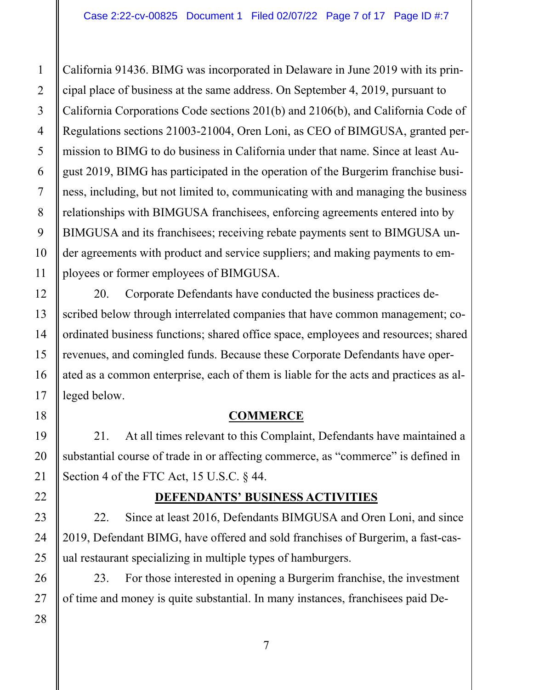California 91436. BIMG was incorporated in Delaware in June 2019 with its principal place of business at the same address. On September 4, 2019, pursuant to California Corporations Code sections 201(b) and 2106(b), and California Code of Regulations sections 21003-21004, Oren Loni, as CEO of BIMGUSA, granted permission to BIMG to do business in California under that name. Since at least August 2019, BIMG has participated in the operation of the Burgerim franchise business, including, but not limited to, communicating with and managing the business relationships with BIMGUSA franchisees, enforcing agreements entered into by BIMGUSA and its franchisees; receiving rebate payments sent to BIMGUSA under agreements with product and service suppliers; and making payments to employees or former employees of BIMGUSA.

20. Corporate Defendants have conducted the business practices described below through interrelated companies that have common management; coordinated business functions; shared office space, employees and resources; shared revenues, and comingled funds. Because these Corporate Defendants have operated as a common enterprise, each of them is liable for the acts and practices as alleged below.

# **COMMERCE**

21. At all times relevant to this Complaint, Defendants have maintained a substantial course of trade in or affecting commerce, as "commerce" is defined in Section 4 of the FTC Act, 15 U.S.C. § 44.

# **DEFENDANTS' BUSINESS ACTIVITIES**

22. Since at least 2016, Defendants BIMGUSA and Oren Loni, and since 2019, Defendant BIMG, have offered and sold franchises of Burgerim, a fast-casual restaurant specializing in multiple types of hamburgers.

23. For those interested in opening a Burgerim franchise, the investment of time and money is quite substantial. In many instances, franchisees paid De-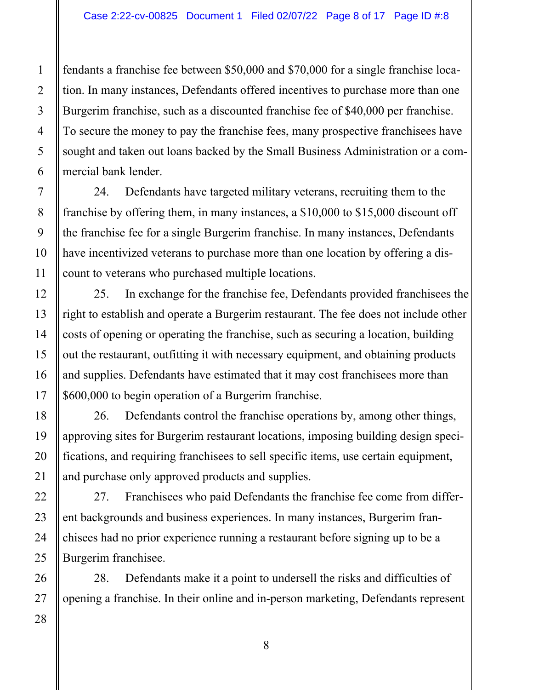fendants a franchise fee between \$50,000 and \$70,000 for a single franchise location. In many instances, Defendants offered incentives to purchase more than one Burgerim franchise, such as a discounted franchise fee of \$40,000 per franchise. To secure the money to pay the franchise fees, many prospective franchisees have sought and taken out loans backed by the Small Business Administration or a commercial bank lender.

24. Defendants have targeted military veterans, recruiting them to the franchise by offering them, in many instances, a \$10,000 to \$15,000 discount off the franchise fee for a single Burgerim franchise. In many instances, Defendants have incentivized veterans to purchase more than one location by offering a discount to veterans who purchased multiple locations.

25. In exchange for the franchise fee, Defendants provided franchisees the right to establish and operate a Burgerim restaurant. The fee does not include other costs of opening or operating the franchise, such as securing a location, building out the restaurant, outfitting it with necessary equipment, and obtaining products and supplies. Defendants have estimated that it may cost franchisees more than \$600,000 to begin operation of a Burgerim franchise.

26. Defendants control the franchise operations by, among other things, approving sites for Burgerim restaurant locations, imposing building design specifications, and requiring franchisees to sell specific items, use certain equipment, and purchase only approved products and supplies.

27. Franchisees who paid Defendants the franchise fee come from different backgrounds and business experiences. In many instances, Burgerim franchisees had no prior experience running a restaurant before signing up to be a Burgerim franchisee.

28. Defendants make it a point to undersell the risks and difficulties of opening a franchise. In their online and in-person marketing, Defendants represent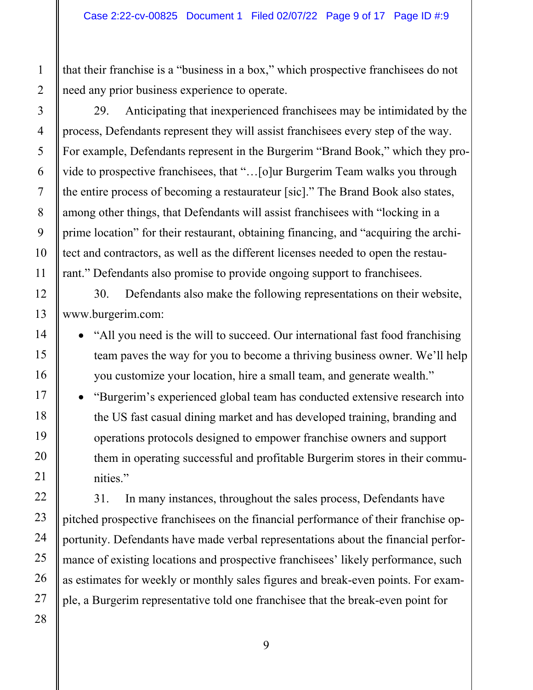that their franchise is a "business in a box," which prospective franchisees do not need any prior business experience to operate.

29. Anticipating that inexperienced franchisees may be intimidated by the process, Defendants represent they will assist franchisees every step of the way. For example, Defendants represent in the Burgerim "Brand Book," which they provide to prospective franchisees, that "…[o]ur Burgerim Team walks you through the entire process of becoming a restaurateur [sic]." The Brand Book also states, among other things, that Defendants will assist franchisees with "locking in a prime location" for their restaurant, obtaining financing, and "acquiring the architect and contractors, as well as the different licenses needed to open the restaurant." Defendants also promise to provide ongoing support to franchisees.

 [www.burgerim.com:](www.burgerim.com) 30. Defendants also make the following representations on their website,

 "All you need is the will to succeed. Our international fast food franchising team paves the way for you to become a thriving business owner. We'll help you customize your location, hire a small team, and generate wealth."

• "Burgerim's experienced global team has conducted extensive research into the US fast casual dining market and has developed training, branding and operations protocols designed to empower franchise owners and support them in operating successful and profitable Burgerim stores in their communities."

31. In many instances, throughout the sales process, Defendants have pitched prospective franchisees on the financial performance of their franchise opportunity. Defendants have made verbal representations about the financial performance of existing locations and prospective franchisees' likely performance, such as estimates for weekly or monthly sales figures and break-even points. For example, a Burgerim representative told one franchisee that the break-even point for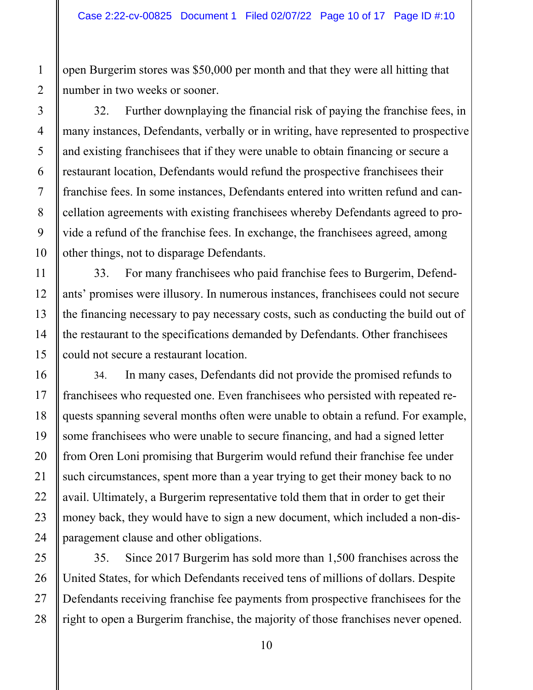open Burgerim stores was \$50,000 per month and that they were all hitting that number in two weeks or sooner.

32. Further downplaying the financial risk of paying the franchise fees, in many instances, Defendants, verbally or in writing, have represented to prospective and existing franchisees that if they were unable to obtain financing or secure a restaurant location, Defendants would refund the prospective franchisees their franchise fees. In some instances, Defendants entered into written refund and cancellation agreements with existing franchisees whereby Defendants agreed to provide a refund of the franchise fees. In exchange, the franchisees agreed, among other things, not to disparage Defendants.

33. For many franchisees who paid franchise fees to Burgerim, Defendants' promises were illusory. In numerous instances, franchisees could not secure the financing necessary to pay necessary costs, such as conducting the build out of the restaurant to the specifications demanded by Defendants. Other franchisees could not secure a restaurant location.

34. In many cases, Defendants did not provide the promised refunds to franchisees who requested one. Even franchisees who persisted with repeated requests spanning several months often were unable to obtain a refund. For example, some franchisees who were unable to secure financing, and had a signed letter from Oren Loni promising that Burgerim would refund their franchise fee under such circumstances, spent more than a year trying to get their money back to no avail. Ultimately, a Burgerim representative told them that in order to get their money back, they would have to sign a new document, which included a non-disparagement clause and other obligations.

28 35. Since 2017 Burgerim has sold more than 1,500 franchises across the United States, for which Defendants received tens of millions of dollars. Despite Defendants receiving franchise fee payments from prospective franchisees for the right to open a Burgerim franchise, the majority of those franchises never opened.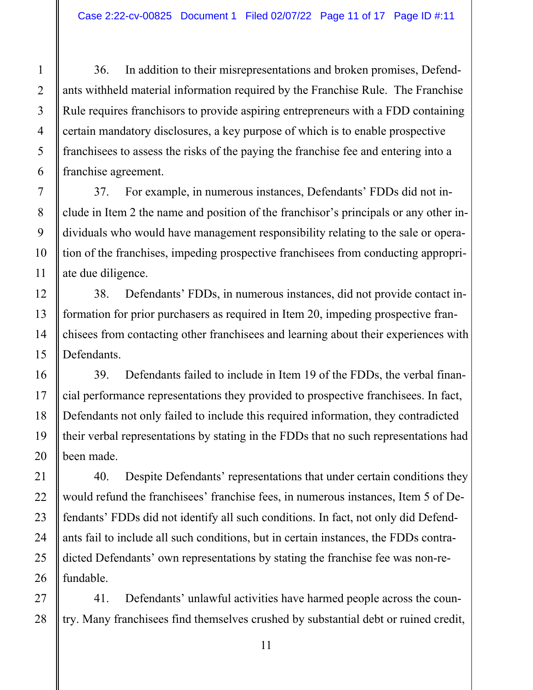36. In addition to their misrepresentations and broken promises, Defendants withheld material information required by the Franchise Rule. The Franchise Rule requires franchisors to provide aspiring entrepreneurs with a FDD containing certain mandatory disclosures, a key purpose of which is to enable prospective franchisees to assess the risks of the paying the franchise fee and entering into a franchise agreement.

37. For example, in numerous instances, Defendants' FDDs did not include in Item 2 the name and position of the franchisor's principals or any other individuals who would have management responsibility relating to the sale or operation of the franchises, impeding prospective franchisees from conducting appropriate due diligence.

38. Defendants' FDDs, in numerous instances, did not provide contact information for prior purchasers as required in Item 20, impeding prospective franchisees from contacting other franchisees and learning about their experiences with Defendants.

39. Defendants failed to include in Item 19 of the FDDs, the verbal financial performance representations they provided to prospective franchisees. In fact, Defendants not only failed to include this required information, they contradicted their verbal representations by stating in the FDDs that no such representations had been made.

40. Despite Defendants' representations that under certain conditions they would refund the franchisees' franchise fees, in numerous instances, Item 5 of Defendants' FDDs did not identify all such conditions. In fact, not only did Defendants fail to include all such conditions, but in certain instances, the FDDs contradicted Defendants' own representations by stating the franchise fee was non-refundable.

41. Defendants' unlawful activities have harmed people across the country. Many franchisees find themselves crushed by substantial debt or ruined credit,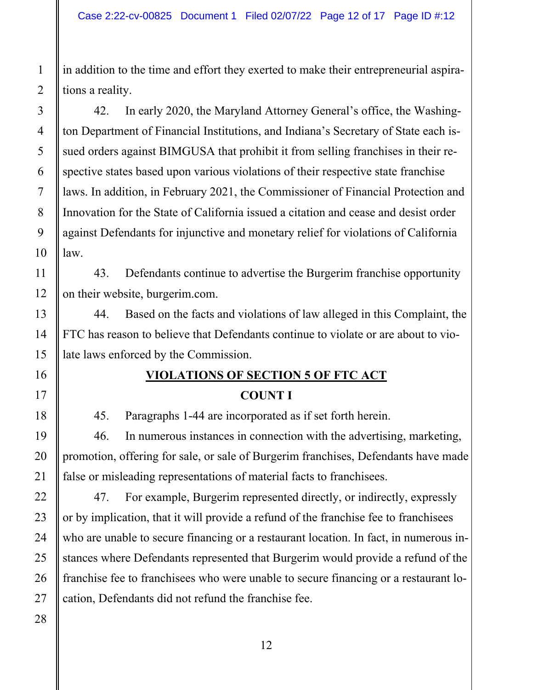in addition to the time and effort they exerted to make their entrepreneurial aspirations a reality.

42. In early 2020, the Maryland Attorney General's office, the Washington Department of Financial Institutions, and Indiana's Secretary of State each issued orders against BIMGUSA that prohibit it from selling franchises in their respective states based upon various violations of their respective state franchise laws. In addition, in February 2021, the Commissioner of Financial Protection and Innovation for the State of California issued a citation and cease and desist order against Defendants for injunctive and monetary relief for violations of California law.

43. Defendants continue to advertise the Burgerim franchise opportunity on their website, [burgerim.com](https://burgerim.com).

44. Based on the facts and violations of law alleged in this Complaint, the FTC has reason to believe that Defendants continue to violate or are about to violate laws enforced by the Commission.

# **VIOLATIONS OF SECTION 5 OF FTC ACT COUNT I**

45. Paragraphs 1-44 are incorporated as if set forth herein.

46. In numerous instances in connection with the advertising, marketing, promotion, offering for sale, or sale of Burgerim franchises, Defendants have made false or misleading representations of material facts to franchisees.

47. For example, Burgerim represented directly, or indirectly, expressly or by implication, that it will provide a refund of the franchise fee to franchisees who are unable to secure financing or a restaurant location. In fact, in numerous instances where Defendants represented that Burgerim would provide a refund of the franchise fee to franchisees who were unable to secure financing or a restaurant location, Defendants did not refund the franchise fee.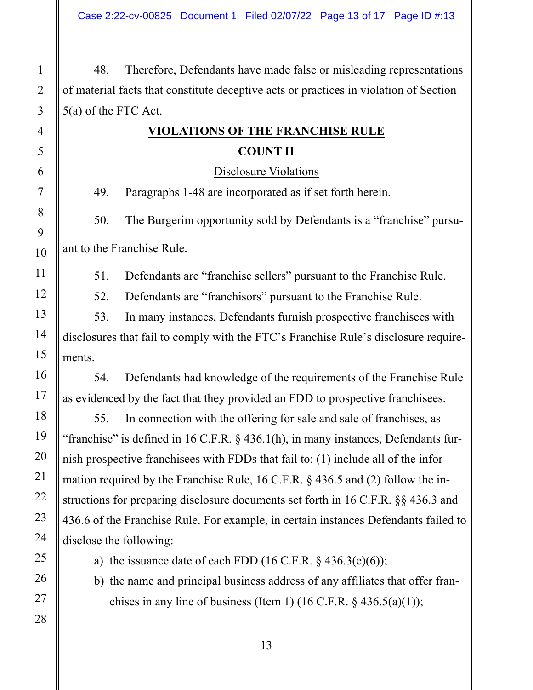48. Therefore, Defendants have made false or misleading representations of material facts that constitute deceptive acts or practices in violation of Section 5(a) of the FTC Act.

# **COUNT II VIOLATIONS OF THE FRANCHISE RULE**

Disclosure Violations

49. Paragraphs 1-48 are incorporated as if set forth herein.

50. The Burgerim opportunity sold by Defendants is a "franchise" pursuant to the Franchise Rule.

51. Defendants are "franchise sellers" pursuant to the Franchise Rule.

52. Defendants are "franchisors" pursuant to the Franchise Rule.

53. In many instances, Defendants furnish prospective franchisees with disclosures that fail to comply with the FTC's Franchise Rule's disclosure requirements.

54. Defendants had knowledge of the requirements of the Franchise Rule as evidenced by the fact that they provided an FDD to prospective franchisees.

55. In connection with the offering for sale and sale of franchises, as "franchise" is defined in 16 C.F.R. § 436.1(h), in many instances, Defendants furnish prospective franchisees with FDDs that fail to: (1) include all of the information required by the Franchise Rule, 16 C.F.R. § 436.5 and (2) follow the instructions for preparing disclosure documents set forth in 16 C.F.R. §§ 436.3 and 436.6 of the Franchise Rule. For example, in certain instances Defendants failed to disclose the following:

a) the issuance date of each FDD  $(16 \text{ C.F.R. } § 436.3(e)(6))$ ;

b) the name and principal business address of any affiliates that offer franchises in any line of business (Item 1) (16 C.F.R.  $\S$  436.5(a)(1));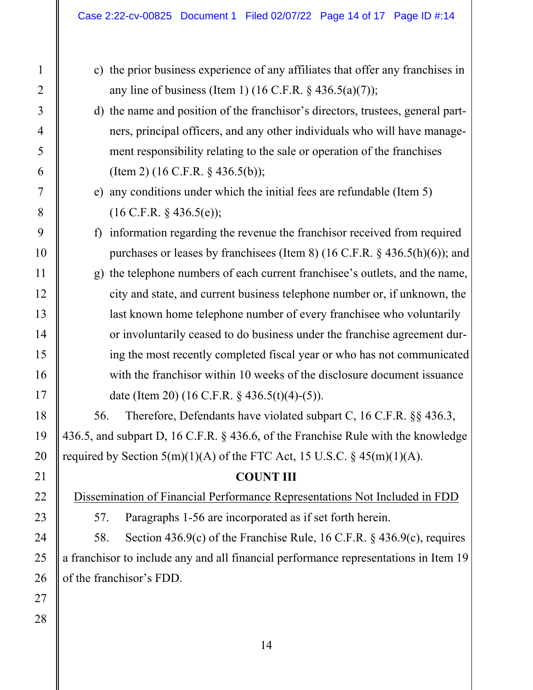- c) the prior business experience of any affiliates that offer any franchises in any line of business (Item 1)  $(16 \text{ C.F.R.} \$   $436.5(a)(7))$ ;
- (Item 2)  $(16 \text{ C.F.R. } § 436.5(b));$ d) the name and position of the franchisor's directors, trustees, general partners, principal officers, and any other individuals who will have management responsibility relating to the sale or operation of the franchises
- $\epsilon$ ) any conditions under which the initial fees are refundable (Item 5)  $(16 \text{ C.F.R. } § 436.5(e));$
- f) information regarding the revenue the franchisor received from required purchases or leases by franchisees (Item 8) (16 C.F.R. § 436.5(h)(6)); and
- g) the telephone numbers of each current franchisee's outlets, and the name, city and state, and current business telephone number or, if unknown, the last known home telephone number of every franchisee who voluntarily or involuntarily ceased to do business under the franchise agreement during the most recently completed fiscal year or who has not communicated with the franchisor within 10 weeks of the disclosure document issuance date (Item 20) (16 C.F.R. § 436.5(t)(4)-(5)).

56. Therefore, Defendants have violated subpart C, 16 C.F.R. §§ 436.3, 436.5, and subpart D, 16 C.F.R. § 436.6, of the Franchise Rule with the knowledge required by Section  $5(m)(1)(A)$  of the FTC Act, 15 U.S.C. § 45 $(m)(1)(A)$ .

### **COUNT III**

Dissemination of Financial Performance Representations Not Included in FDD

57. Paragraphs 1-56 are incorporated as if set forth herein.

58. Section 436.9(c) of the Franchise Rule, 16 C.F.R. § 436.9(c), requires a franchisor to include any and all financial performance representations in Item 19 of the franchisor's FDD.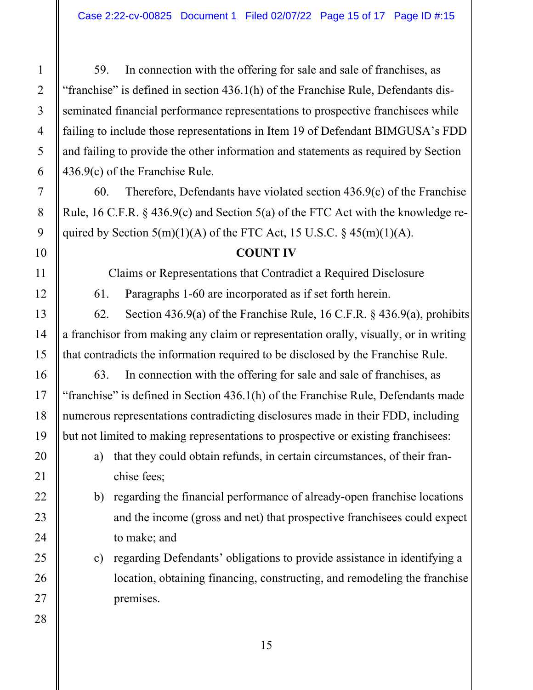59. In connection with the offering for sale and sale of franchises, as "franchise" is defined in section 436.1(h) of the Franchise Rule, Defendants disseminated financial performance representations to prospective franchisees while failing to include those representations in Item 19 of Defendant BIMGUSA's FDD and failing to provide the other information and statements as required by Section 436.9(c) of the Franchise Rule.

60. Therefore, Defendants have violated section  $436.9(c)$  of the Franchise Rule, 16 C.F.R. § 436.9(c) and Section 5(a) of the FTC Act with the knowledge required by Section  $5(m)(1)(A)$  of the FTC Act, 15 U.S.C. § 45 $(m)(1)(A)$ .

### **COUNT IV**

Claims or Representations that Contradict a Required Disclosure

61. Paragraphs 1-60 are incorporated as if set forth herein.

62. Section 436.9(a) of the Franchise Rule, 16 C.F.R. § 436.9(a), prohibits a franchisor from making any claim or representation orally, visually, or in writing that contradicts the information required to be disclosed by the Franchise Rule.

63. In connection with the offering for sale and sale of franchises, as "franchise" is defined in Section 436.1(h) of the Franchise Rule, Defendants made numerous representations contradicting disclosures made in their FDD, including but not limited to making representations to prospective or existing franchisees:

- a) that they could obtain refunds, in certain circumstances, of their franchise fees;
- b) regarding the financial performance of already-open franchise locations and the income (gross and net) that prospective franchisees could expect to make; and
- c) regarding Defendants' obligations to provide assistance in identifying a location, obtaining financing, constructing, and remodeling the franchise premises.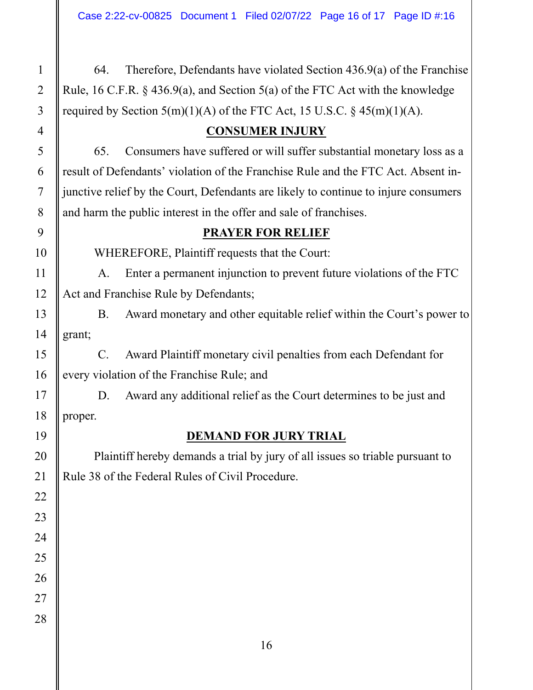64. Therefore, Defendants have violated Section 436.9(a) of the Franchise Rule, 16 C.F.R. § 436.9(a), and Section 5(a) of the FTC Act with the knowledge required by Section  $5(m)(1)(A)$  of the FTC Act, 15 U.S.C. § 45 $(m)(1)(A)$ .

### **CONSUMER INJURY**

65. Consumers have suffered or will suffer substantial monetary loss as a result of Defendants' violation of the Franchise Rule and the FTC Act. Absent injunctive relief by the Court, Defendants are likely to continue to injure consumers and harm the public interest in the offer and sale of franchises.

### **PRAYER FOR RELIEF**

WHEREFORE, Plaintiff requests that the Court:

A. Enter a permanent injunction to prevent future violations of the FTC Act and Franchise Rule by Defendants;

B. Award monetary and other equitable relief within the Court's power to grant;

C. Award Plaintiff monetary civil penalties from each Defendant for every violation of the Franchise Rule; and

 proper. D. Award any additional relief as the Court determines to be just and

# **DEMAND FOR JURY TRIAL**

Plaintiff hereby demands a trial by jury of all issues so triable pursuant to Rule 38 of the Federal Rules of Civil Procedure.